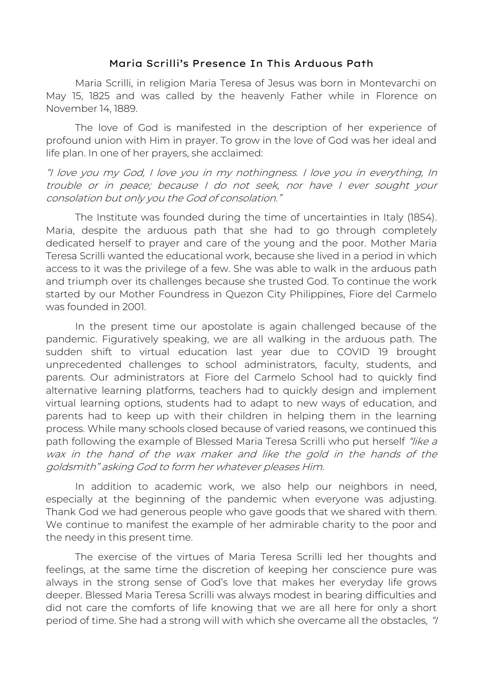## Maria Scrilli's Presence In This Arduous Path

Maria Scrilli, in religion Maria Teresa of Jesus was born in Montevarchi on May 15, 1825 and was called by the heavenly Father while in Florence on November 14, 1889.

The love of God is manifested in the description of her experience of profound union with Him in prayer. To grow in the love of God was her ideal and life plan. In one of her prayers, she acclaimed:

"I love you my God, I love you in my nothingness. I love you in everything, In trouble or in peace; because I do not seek, nor have I ever sought your consolation but only you the God of consolation."

The Institute was founded during the time of uncertainties in Italy (1854). Maria, despite the arduous path that she had to go through completely dedicated herself to prayer and care of the young and the poor. Mother Maria Teresa Scrilli wanted the educational work, because she lived in a period in which access to it was the privilege of a few. She was able to walk in the arduous path and triumph over its challenges because she trusted God. To continue the work started by our Mother Foundress in Quezon City Philippines, Fiore del Carmelo was founded in 2001.

In the present time our apostolate is again challenged because of the pandemic. Figuratively speaking, we are all walking in the arduous path. The sudden shift to virtual education last year due to COVID 19 brought unprecedented challenges to school administrators, faculty, students, and parents. Our administrators at Fiore del Carmelo School had to quickly find alternative learning platforms, teachers had to quickly design and implement virtual learning options, students had to adapt to new ways of education, and parents had to keep up with their children in helping them in the learning process. While many schools closed because of varied reasons, we continued this path following the example of Blessed Maria Teresa Scrilli who put herself "like a wax in the hand of the wax maker and like the gold in the hands of the goldsmith" asking God to form her whatever pleases Him.

In addition to academic work, we also help our neighbors in need, especially at the beginning of the pandemic when everyone was adjusting. Thank God we had generous people who gave goods that we shared with them. We continue to manifest the example of her admirable charity to the poor and the needy in this present time.

The exercise of the virtues of Maria Teresa Scrilli led her thoughts and feelings, at the same time the discretion of keeping her conscience pure was always in the strong sense of God's love that makes her everyday life grows deeper. Blessed Maria Teresa Scrilli was always modest in bearing difficulties and did not care the comforts of life knowing that we are all here for only a short period of time. She had a strong will with which she overcame all the obstacles, "/